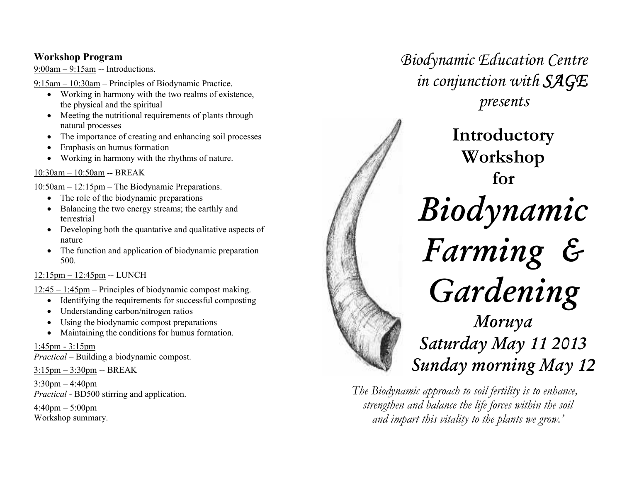# Workshop Program

9:00am – 9:15am -- Introductions.

9:15am – 10:30am – Principles of Biodynamic Practice.

- Working in harmony with the two realms of existence, the physical and the spiritual
- Meeting the nutritional requirements of plants through natural processes
- The importance of creating and enhancing soil processes •
- •Emphasis on humus formation
- •Working in harmony with the rhythms of nature.

# 10:30am – 10:50am -- BREAK

10:50am – 12:15pm – The Biodynamic Preparations.

- The role of the biodynamic preparations
- • Balancing the two energy streams; the earthly and terrestrial
- Developing both the quantative and qualitative aspects of nature
- $\bullet$  The function and application of biodynamic preparation 500.

# 12:15pm – 12:45pm -- LUNCH

12:45 – 1:45pm – Principles of biodynamic compost making.

- Identifying the requirements for successful composting
- •Understanding carbon/nitrogen ratios
- •Using the biodynamic compost preparations
- •Maintaining the conditions for humus formation.

# 1:45pm - 3:15pm

Practical – Building a biodynamic compost.

3:15pm – 3:30pm -- BREAK

3:30pm – 4:40pm*Practical* - BD500 stirring and application.

 $4:40$ pm – 5:00pm Workshop summary.



Biodynamic Education Centre

in conjunction with SAGE

The Biodynamic approach to soil fertility is to enhance, strengthen and balance the life forces within the soil and impart this vitality to the plants we grow.'